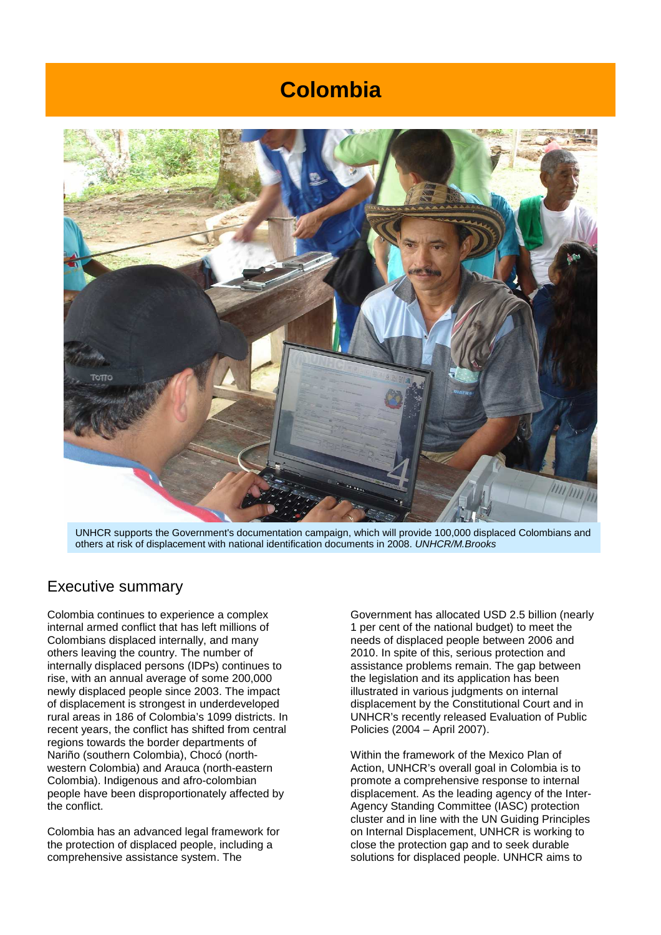# **Colombia**



UNHCR supports the Government's documentation campaign, which will provide 100,000 displaced Colombians and others at risk of displacement with national identification documents in 2008. UNHCR/M.Brooks

#### Executive summary

Colombia continues to experience a complex internal armed conflict that has left millions of Colombians displaced internally, and many others leaving the country. The number of internally displaced persons (IDPs) continues to rise, with an annual average of some 200,000 newly displaced people since 2003. The impact of displacement is strongest in underdeveloped rural areas in 186 of Colombia's 1099 districts. In recent years, the conflict has shifted from central regions towards the border departments of Nariño (southern Colombia), Chocó (northwestern Colombia) and Arauca (north-eastern Colombia). Indigenous and afro-colombian people have been disproportionately affected by the conflict.

Colombia has an advanced legal framework for the protection of displaced people, including a comprehensive assistance system. The

Government has allocated USD 2.5 billion (nearly 1 per cent of the national budget) to meet the needs of displaced people between 2006 and 2010. In spite of this, serious protection and assistance problems remain. The gap between the legislation and its application has been illustrated in various judgments on internal displacement by the Constitutional Court and in UNHCR's recently released Evaluation of Public Policies (2004 – April 2007).

Within the framework of the Mexico Plan of Action, UNHCR's overall goal in Colombia is to promote a comprehensive response to internal displacement. As the leading agency of the Inter-Agency Standing Committee (IASC) protection cluster and in line with the UN Guiding Principles on Internal Displacement, UNHCR is working to close the protection gap and to seek durable solutions for displaced people. UNHCR aims to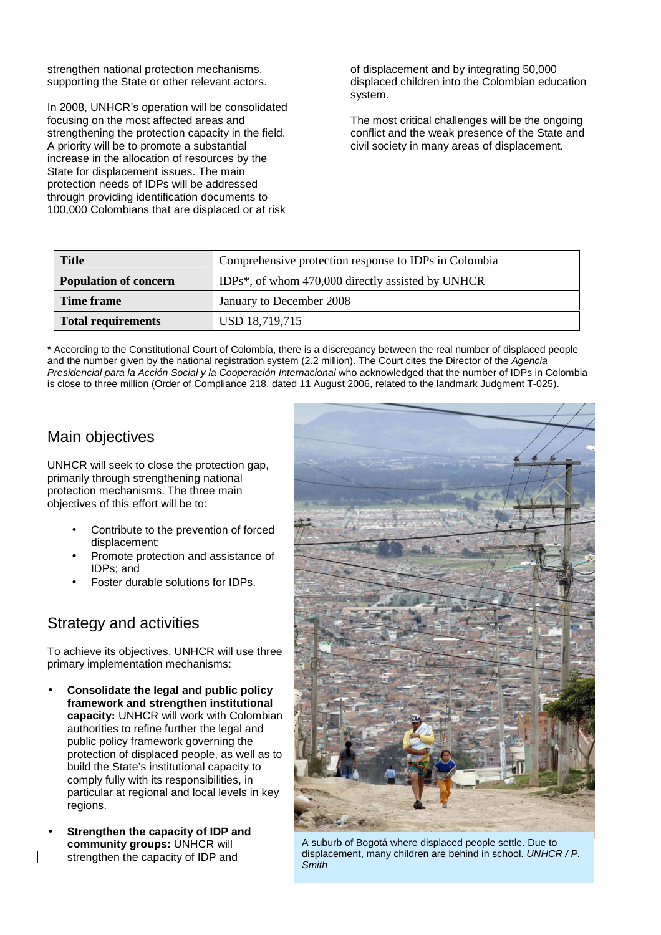strengthen national protection mechanisms, supporting the State or other relevant actors.

In 2008, UNHCR's operation will be consolidated focusing on the most affected areas and strengthening the protection capacity in the field. A priority will be to promote a substantial increase in the allocation of resources by the State for displacement issues. The main protection needs of IDPs will be addressed through providing identification documents to 100,000 Colombians that are displaced or at risk

of displacement and by integrating 50,000 displaced children into the Colombian education system.

The most critical challenges will be the ongoing conflict and the weak presence of the State and civil society in many areas of displacement.

| Title                        | Comprehensive protection response to IDPs in Colombia |  |
|------------------------------|-------------------------------------------------------|--|
| <b>Population of concern</b> | IDPs*, of whom 470,000 directly assisted by UNHCR     |  |
| Time frame                   | January to December 2008                              |  |
| Total requirements           | USD 18,719,715                                        |  |

\* According to the Constitutional Court of Colombia, there is a discrepancy between the real number of displaced people and the number given by the national registration system (2.2 million). The Court cites the Director of the Agencia Presidencial para la Acción Social y la Cooperación Internacional who acknowledged that the number of IDPs in Colombia is close to three million (Order of Compliance 218, dated 11 August 2006, related to the landmark Judgment T-025).

### Main objectives

UNHCR will seek to close the protection gap, primarily through strengthening national protection mechanisms. The three main objectives of this effort will be to:

- Contribute to the prevention of forced displacement;
- Promote protection and assistance of IDPs; and
- Foster durable solutions for IDPs.

### Strategy and activities

To achieve its objectives, UNHCR will use three primary implementation mechanisms:

- **Consolidate the legal and public policy framework and strengthen institutional capacity:** UNHCR will work with Colombian authorities to refine further the legal and public policy framework governing the protection of displaced people, as well as to build the State's institutional capacity to comply fully with its responsibilities, in particular at regional and local levels in key regions.
- **Strengthen the capacity of IDP and community groups:** UNHCR will strengthen the capacity of IDP and



A suburb of Bogotá where displaced people settle. Due to displacement, many children are behind in school. UNHCR / P. **Smith**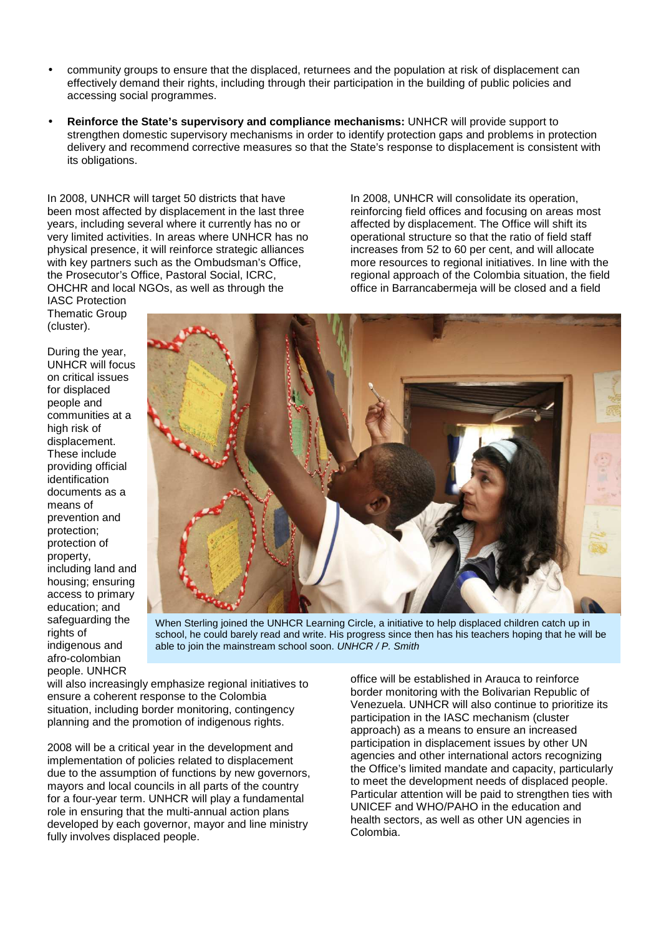- community groups to ensure that the displaced, returnees and the population at risk of displacement can effectively demand their rights, including through their participation in the building of public policies and accessing social programmes.
- **Reinforce the State's supervisory and compliance mechanisms:** UNHCR will provide support to strengthen domestic supervisory mechanisms in order to identify protection gaps and problems in protection delivery and recommend corrective measures so that the State's response to displacement is consistent with its obligations.

In 2008, UNHCR will target 50 districts that have been most affected by displacement in the last three years, including several where it currently has no or very limited activities. In areas where UNHCR has no physical presence, it will reinforce strategic alliances with key partners such as the Ombudsman's Office. the Prosecutor's Office, Pastoral Social, ICRC, OHCHR and local NGOs, as well as through the

In 2008, UNHCR will consolidate its operation, reinforcing field offices and focusing on areas most affected by displacement. The Office will shift its operational structure so that the ratio of field staff increases from 52 to 60 per cent, and will allocate more resources to regional initiatives. In line with the regional approach of the Colombia situation, the field office in Barrancabermeja will be closed and a field

IASC Protection Thematic Group (cluster).

During the year, UNHCR will focus on critical issues for displaced people and communities at a high risk of displacement. These include providing official identification documents as a means of prevention and protection; protection of property, including land and housing; ensuring access to primary education; and safeguarding the rights of indigenous and afro-colombian people. UNHCR



When Sterling joined the UNHCR Learning Circle, a initiative to help displaced children catch up in school, he could barely read and write. His progress since then has his teachers hoping that he will be able to join the mainstream school soon. UNHCR / P. Smith

will also increasingly emphasize regional initiatives to ensure a coherent response to the Colombia situation, including border monitoring, contingency planning and the promotion of indigenous rights.

2008 will be a critical year in the development and implementation of policies related to displacement due to the assumption of functions by new governors, mayors and local councils in all parts of the country for a four-year term. UNHCR will play a fundamental role in ensuring that the multi-annual action plans developed by each governor, mayor and line ministry fully involves displaced people.

office will be established in Arauca to reinforce border monitoring with the Bolivarian Republic of Venezuela. UNHCR will also continue to prioritize its participation in the IASC mechanism (cluster approach) as a means to ensure an increased participation in displacement issues by other UN agencies and other international actors recognizing the Office's limited mandate and capacity, particularly to meet the development needs of displaced people. Particular attention will be paid to strengthen ties with UNICEF and WHO/PAHO in the education and health sectors, as well as other UN agencies in Colombia.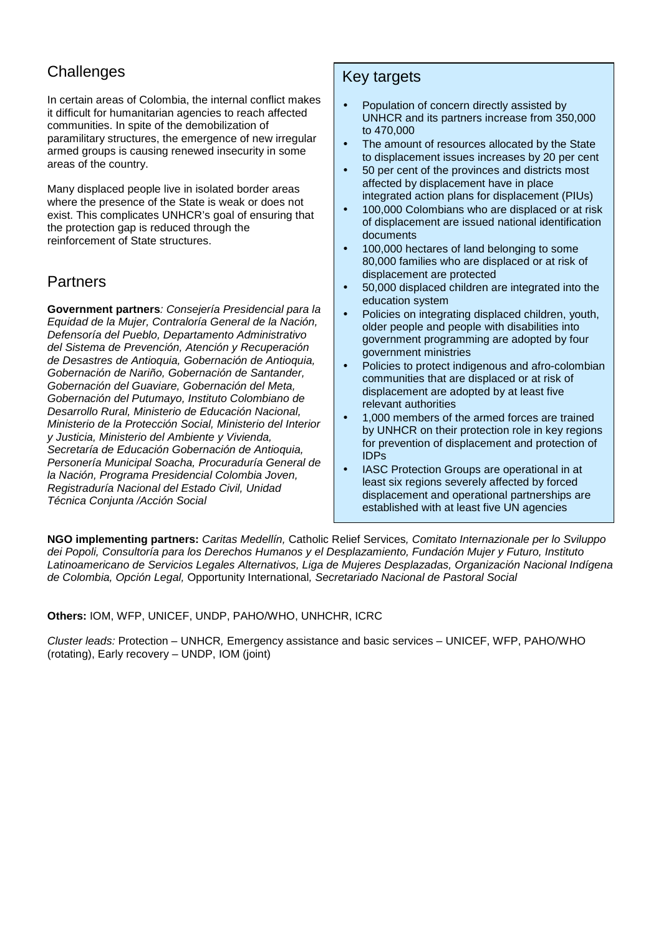## **Challenges**

In certain areas of Colombia, the internal conflict makes it difficult for humanitarian agencies to reach affected communities. In spite of the demobilization of paramilitary structures, the emergence of new irregular armed groups is causing renewed insecurity in some areas of the country.

Many displaced people live in isolated border areas where the presence of the State is weak or does not exist. This complicates UNHCR's goal of ensuring that the protection gap is reduced through the reinforcement of State structures.

### Partners

**Government partners**: Consejería Presidencial para la Equidad de la Mujer, Contraloría General de la Nación, Defensoría del Pueblo, Departamento Administrativo del Sistema de Prevención, Atención y Recuperación de Desastres de Antioquia, Gobernación de Antioquia, Gobernación de Nariño, Gobernación de Santander, Gobernación del Guaviare, Gobernación del Meta, Gobernación del Putumayo, Instituto Colombiano de Desarrollo Rural, Ministerio de Educación Nacional, Ministerio de la Protección Social, Ministerio del Interior y Justicia, Ministerio del Ambiente y Vivienda, Secretaría de Educación Gobernación de Antioquia, Personería Municipal Soacha, Procuraduría General de la Nación, Programa Presidencial Colombia Joven, Registraduría Nacional del Estado Civil, Unidad Técnica Conjunta /Acción Social

### Key targets

- Population of concern directly assisted by UNHCR and its partners increase from 350,000 to 470,000
- The amount of resources allocated by the State to displacement issues increases by 20 per cent
- 50 per cent of the provinces and districts most affected by displacement have in place integrated action plans for displacement (PIUs)
- 100,000 Colombians who are displaced or at risk of displacement are issued national identification documents
- 100,000 hectares of land belonging to some 80,000 families who are displaced or at risk of displacement are protected
- 50,000 displaced children are integrated into the education system
- Policies on integrating displaced children, youth, older people and people with disabilities into government programming are adopted by four government ministries
- Policies to protect indigenous and afro-colombian communities that are displaced or at risk of displacement are adopted by at least five relevant authorities
- 1,000 members of the armed forces are trained by UNHCR on their protection role in key regions for prevention of displacement and protection of IDPs
- IASC Protection Groups are operational in at least six regions severely affected by forced displacement and operational partnerships are established with at least five UN agencies

**NGO implementing partners:** Caritas Medellín, Catholic Relief Services, Comitato Internazionale per lo Sviluppo dei Popoli, Consultoría para los Derechos Humanos y el Desplazamiento, Fundación Mujer y Futuro, Instituto Latinoamericano de Servicios Legales Alternativos, Liga de Mujeres Desplazadas, Organización Nacional Indígena de Colombia, Opción Legal, Opportunity International, Secretariado Nacional de Pastoral Social

**Others:** IOM, WFP, UNICEF, UNDP, PAHO/WHO, UNHCHR, ICRC

Cluster leads: Protection – UNHCR, Emergency assistance and basic services – UNICEF, WFP, PAHO/WHO (rotating), Early recovery – UNDP, IOM (joint)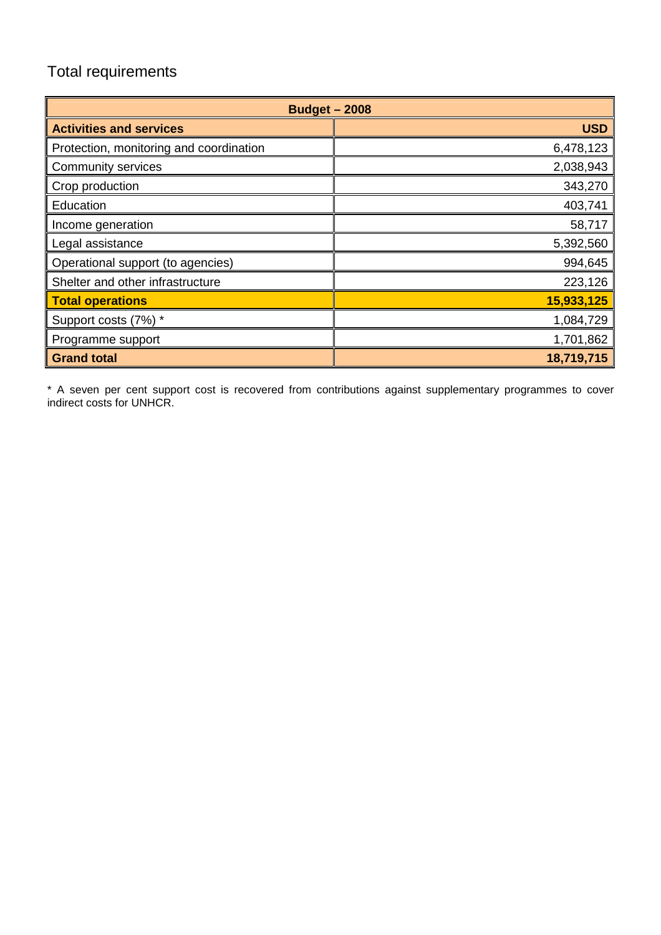## Total requirements

| <b>Budget - 2008</b>                    |            |  |
|-----------------------------------------|------------|--|
| <b>Activities and services</b>          | <b>USD</b> |  |
| Protection, monitoring and coordination | 6,478,123  |  |
| Community services                      | 2,038,943  |  |
| Crop production                         | 343,270    |  |
| Education                               | 403,741    |  |
| Income generation                       | 58,717     |  |
| Legal assistance                        | 5,392,560  |  |
| Operational support (to agencies)       | 994,645    |  |
| Shelter and other infrastructure        | 223,126    |  |
| <b>Total operations</b>                 | 15,933,125 |  |
| Support costs (7%) *                    | 1,084,729  |  |
| Programme support                       | 1,701,862  |  |
| <b>Grand total</b>                      | 18,719,715 |  |

\* A seven per cent support cost is recovered from contributions against supplementary programmes to cover indirect costs for UNHCR.